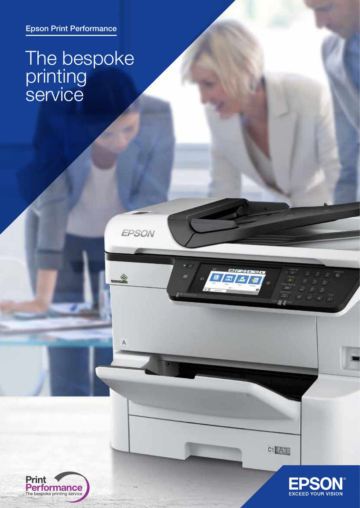Epson Print Performance

## The bespoke printing **Service**

EPSON

♦

 $\overline{A}$ 

a | 3 | 3 | 3 |





 $C1$  $A3$ 

 $-20.20$ 

中乡田  $\sqrt{2}$  $99.07$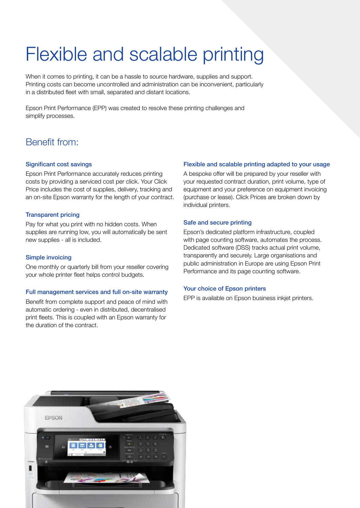## Flexible and scalable printing

When it comes to printing, it can be a hassle to source hardware, supplies and support. Printing costs can become uncontrolled and administration can be inconvenient, particularly in a distributed fleet with small, separated and distant locations.

Epson Print Performance (EPP) was created to resolve these printing challenges and simplify processes.

## Benefit from:

#### Significant cost savings

Epson Print Performance accurately reduces printing costs by providing a serviced cost per click. Your Click Price includes the cost of supplies, delivery, tracking and an on-site Epson warranty for the length of your contract.

#### Transparent pricing

Pay for what you print with no hidden costs. When supplies are running low, you will automatically be sent new supplies - all is included.

#### Simple invoicing

One monthly or quarterly bill from your reseller covering your whole printer fleet helps control budgets.

#### Full management services and full on-site warranty

Benefit from complete support and peace of mind with automatic ordering - even in distributed, decentralised print fleets. This is coupled with an Epson warranty for the duration of the contract.

#### Flexible and scalable printing adapted to your usage

A bespoke offer will be prepared by your reseller with your requested contract duration, print volume, type of equipment and your preference on equipment invoicing (purchase or lease). Click Prices are broken down by individual printers.

#### Safe and secure printing

Epson's dedicated platform infrastructure, coupled with page counting software, automates the process. Dedicated software (DSS) tracks actual print volume, transparently and securely. Large organisations and public administration in Europe are using Epson Print Performance and its page counting software.

#### Your choice of Epson printers

EPP is available on Epson business inkjet printers.

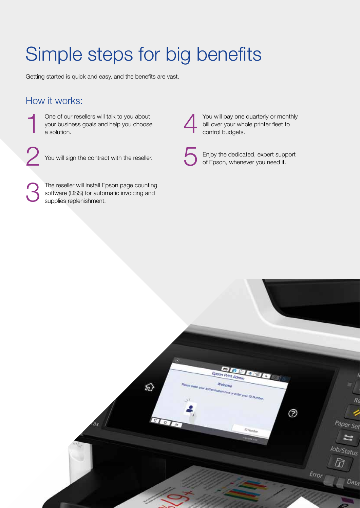# Simple steps for big benefits

Getting started is quick and easy, and the benefits are vast.

## How it works:

- One of our resellers will talk to you about your business goals and help you choose a solution. 1
- You will sign the contract with the reseller. 2
- The reseller will install Epson page counting software (DSS) for automatic invoicing and supplies replenishment. 3

You will pay one quarterly or monthly bill over your whole printer fleet to control budgets. 4

5

Enjoy the dedicated, expert support of Epson, whenever you need it.